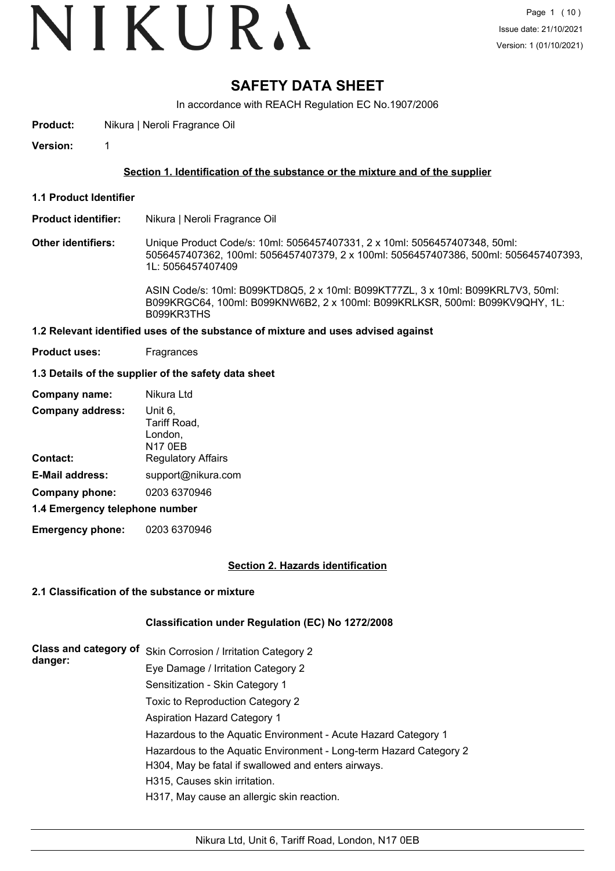# **SAFETY DATA SHEET**

In accordance with REACH Regulation EC No.1907/2006

**Product:** Nikura | Neroli Fragrance Oil

**Version:** 1

#### **Section 1. Identification of the substance or the mixture and of the supplier**

- **1.1 Product Identifier**
- **Product identifier:** Nikura | Neroli Fragrance Oil

**Other identifiers:** Unique Product Code/s: 10ml: 5056457407331, 2 x 10ml: 5056457407348, 50ml: 5056457407362, 100ml: 5056457407379, 2 x 100ml: 5056457407386, 500ml: 5056457407393, 1L: 5056457407409

> ASIN Code/s: 10ml: B099KTD8Q5, 2 x 10ml: B099KT77ZL, 3 x 10ml: B099KRL7V3, 50ml: B099KRGC64, 100ml: B099KNW6B2, 2 x 100ml: B099KRLKSR, 500ml: B099KV9QHY, 1L: B099KR3THS

#### **1.2 Relevant identified uses of the substance of mixture and uses advised against**

**Product uses:** Fragrances

#### **1.3 Details of the supplier of the safety data sheet**

| Company name:                  | Nikura Ltd                                           |
|--------------------------------|------------------------------------------------------|
| <b>Company address:</b>        | Unit 6,<br>Tariff Road,<br>London,<br><b>N17 0EB</b> |
| <b>Contact:</b>                | <b>Regulatory Affairs</b>                            |
| <b>E-Mail address:</b>         | support@nikura.com                                   |
| Company phone:                 | 0203 6370946                                         |
| 1.4 Emergency telephone number |                                                      |

**Emergency phone:** 0203 6370946

#### **Section 2. Hazards identification**

#### **2.1 Classification of the substance or mixture**

#### **Classification under Regulation (EC) No 1272/2008**

| <b>Class and category of</b><br>danger: | Skin Corrosion / Irritation Category 2                                                                                    |
|-----------------------------------------|---------------------------------------------------------------------------------------------------------------------------|
|                                         | Eye Damage / Irritation Category 2                                                                                        |
|                                         | Sensitization - Skin Category 1                                                                                           |
|                                         | Toxic to Reproduction Category 2                                                                                          |
|                                         | <b>Aspiration Hazard Category 1</b>                                                                                       |
|                                         | Hazardous to the Aquatic Environment - Acute Hazard Category 1                                                            |
|                                         | Hazardous to the Aquatic Environment - Long-term Hazard Category 2<br>H304, May be fatal if swallowed and enters airways. |
|                                         | H315, Causes skin irritation.                                                                                             |
|                                         | H317, May cause an allergic skin reaction.                                                                                |
|                                         |                                                                                                                           |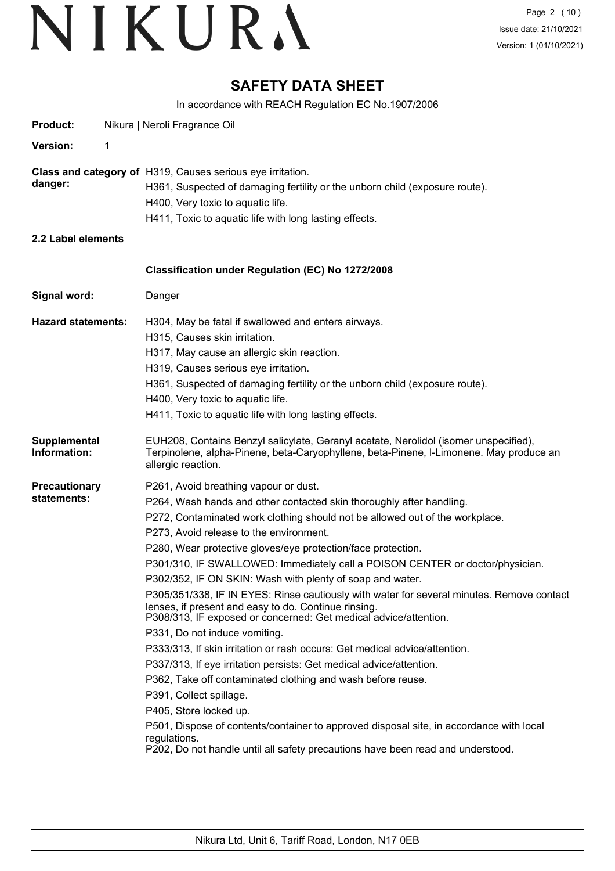# **SAFETY DATA SHEET**

In accordance with REACH Regulation EC No.1907/2006

| <b>Product:</b>                     | Nikura   Neroli Fragrance Oil                                                                                                                                                                                                                                                                                                                                                                                                                                                                                                                                                                                                                                                                                                                                                                                                                                                                                                                                                                                                                                                                                                                                                           |
|-------------------------------------|-----------------------------------------------------------------------------------------------------------------------------------------------------------------------------------------------------------------------------------------------------------------------------------------------------------------------------------------------------------------------------------------------------------------------------------------------------------------------------------------------------------------------------------------------------------------------------------------------------------------------------------------------------------------------------------------------------------------------------------------------------------------------------------------------------------------------------------------------------------------------------------------------------------------------------------------------------------------------------------------------------------------------------------------------------------------------------------------------------------------------------------------------------------------------------------------|
| <b>Version:</b>                     | 1                                                                                                                                                                                                                                                                                                                                                                                                                                                                                                                                                                                                                                                                                                                                                                                                                                                                                                                                                                                                                                                                                                                                                                                       |
| danger:                             | <b>Class and category of H319, Causes serious eye irritation.</b><br>H361, Suspected of damaging fertility or the unborn child (exposure route).<br>H400, Very toxic to aquatic life.<br>H411, Toxic to aquatic life with long lasting effects.                                                                                                                                                                                                                                                                                                                                                                                                                                                                                                                                                                                                                                                                                                                                                                                                                                                                                                                                         |
| 2.2 Label elements                  |                                                                                                                                                                                                                                                                                                                                                                                                                                                                                                                                                                                                                                                                                                                                                                                                                                                                                                                                                                                                                                                                                                                                                                                         |
|                                     | Classification under Regulation (EC) No 1272/2008                                                                                                                                                                                                                                                                                                                                                                                                                                                                                                                                                                                                                                                                                                                                                                                                                                                                                                                                                                                                                                                                                                                                       |
| Signal word:                        | Danger                                                                                                                                                                                                                                                                                                                                                                                                                                                                                                                                                                                                                                                                                                                                                                                                                                                                                                                                                                                                                                                                                                                                                                                  |
| <b>Hazard statements:</b>           | H304, May be fatal if swallowed and enters airways.<br>H315, Causes skin irritation.<br>H317, May cause an allergic skin reaction.<br>H319, Causes serious eye irritation.<br>H361, Suspected of damaging fertility or the unborn child (exposure route).<br>H400, Very toxic to aquatic life.<br>H411, Toxic to aquatic life with long lasting effects.                                                                                                                                                                                                                                                                                                                                                                                                                                                                                                                                                                                                                                                                                                                                                                                                                                |
| Supplemental<br>Information:        | EUH208, Contains Benzyl salicylate, Geranyl acetate, Nerolidol (isomer unspecified),<br>Terpinolene, alpha-Pinene, beta-Caryophyllene, beta-Pinene, I-Limonene. May produce an<br>allergic reaction.                                                                                                                                                                                                                                                                                                                                                                                                                                                                                                                                                                                                                                                                                                                                                                                                                                                                                                                                                                                    |
| <b>Precautionary</b><br>statements: | P261, Avoid breathing vapour or dust.<br>P264, Wash hands and other contacted skin thoroughly after handling.<br>P272, Contaminated work clothing should not be allowed out of the workplace.<br>P273, Avoid release to the environment.<br>P280, Wear protective gloves/eye protection/face protection.<br>P301/310, IF SWALLOWED: Immediately call a POISON CENTER or doctor/physician.<br>P302/352, IF ON SKIN: Wash with plenty of soap and water.<br>P305/351/338, IF IN EYES: Rinse cautiously with water for several minutes. Remove contact<br>lenses, if present and easy to do. Continue rinsing.<br>P308/313, IF exposed or concerned: Get medical advice/attention.<br>P331, Do not induce vomiting.<br>P333/313, If skin irritation or rash occurs: Get medical advice/attention.<br>P337/313, If eye irritation persists: Get medical advice/attention.<br>P362, Take off contaminated clothing and wash before reuse.<br>P391, Collect spillage.<br>P405, Store locked up.<br>P501, Dispose of contents/container to approved disposal site, in accordance with local<br>regulations.<br>P202, Do not handle until all safety precautions have been read and understood. |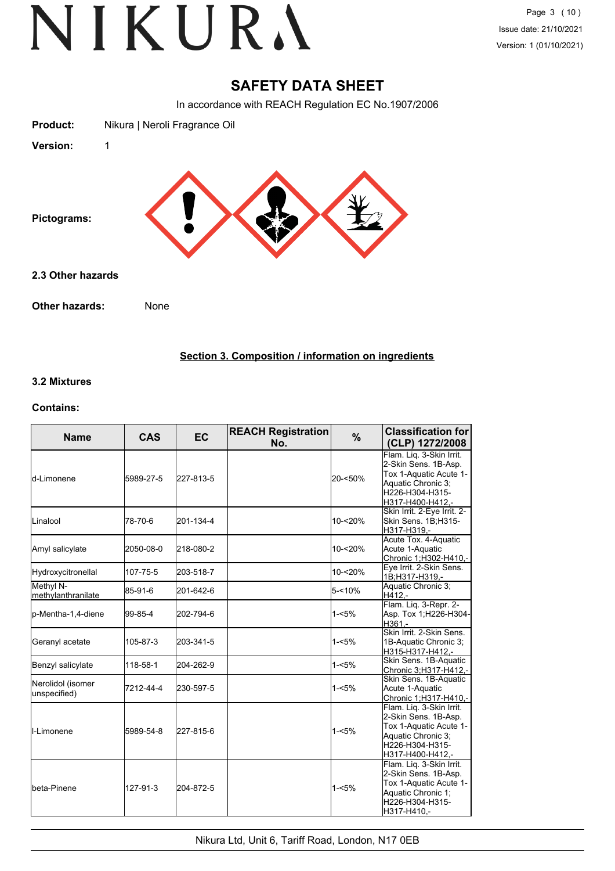# **SAFETY DATA SHEET**

In accordance with REACH Regulation EC No.1907/2006



### **Section 3. Composition / information on ingredients**

#### **3.2 Mixtures**

#### **Contains:**

| <b>Name</b>                        | <b>CAS</b> | <b>EC</b> | <b>REACH Registration</b><br>No. | %          | <b>Classification for</b><br>(CLP) 1272/2008                                                                                            |
|------------------------------------|------------|-----------|----------------------------------|------------|-----------------------------------------------------------------------------------------------------------------------------------------|
| <b>l</b> d-Limonene                | 5989-27-5  | 227-813-5 |                                  | 20-<50%    | Flam. Lig. 3-Skin Irrit.<br>2-Skin Sens. 1B-Asp.<br>Tox 1-Aquatic Acute 1-<br>Aquatic Chronic 3;<br>H226-H304-H315-<br>H317-H400-H412,- |
| <b>L</b> inalool                   | 78-70-6    | 201-134-4 |                                  | 10-<20%    | Skin Irrit. 2-Eye Irrit. 2-<br>Skin Sens. 1B;H315-<br>H317-H319.-                                                                       |
| Amyl salicylate                    | 2050-08-0  | 218-080-2 |                                  | $10 - 20%$ | Acute Tox. 4-Aquatic<br>Acute 1-Aquatic<br>Chronic 1;H302-H410.-                                                                        |
| Hydroxycitronellal                 | 107-75-5   | 203-518-7 |                                  | $10 - 20%$ | Eye Irrit. 2-Skin Sens.<br>1B;H317-H319,-                                                                                               |
| Methyl N-<br>methylanthranilate    | 85-91-6    | 201-642-6 |                                  | $5 - 10%$  | Aquatic Chronic 3;<br>H412,-                                                                                                            |
| p-Mentha-1,4-diene                 | 99-85-4    | 202-794-6 |                                  | $1 - 5%$   | Flam. Liq. 3-Repr. 2-<br>Asp. Tox 1;H226-H304-<br>H361,-                                                                                |
| Geranyl acetate                    | 105-87-3   | 203-341-5 |                                  | $1 - 5%$   | Skin Irrit, 2-Skin Sens.<br>1B-Aquatic Chronic 3;<br>H315-H317-H412.-                                                                   |
| Benzyl salicylate                  | 118-58-1   | 204-262-9 |                                  | $1 - 5%$   | Skin Sens. 1B-Aquatic<br>Chronic 3:H317-H412,-                                                                                          |
| Nerolidol (isomer<br>lunspecified) | 7212-44-4  | 230-597-5 |                                  | $1 - 5%$   | Skin Sens. 1B-Aquatic<br>Acute 1-Aquatic<br>Chronic 1;H317-H410,-                                                                       |
| II-Limonene                        | 5989-54-8  | 227-815-6 |                                  | $1 - 5%$   | Flam. Liq. 3-Skin Irrit.<br>2-Skin Sens. 1B-Asp.<br>Tox 1-Aquatic Acute 1-<br>Aquatic Chronic 3:<br>H226-H304-H315-<br>H317-H400-H412.- |
| lbeta-Pinene                       | 127-91-3   | 204-872-5 |                                  | $1 - 5%$   | Flam. Liq. 3-Skin Irrit.<br>2-Skin Sens. 1B-Asp.<br>Tox 1-Aquatic Acute 1-<br>Aquatic Chronic 1;<br>H226-H304-H315-<br>H317-H410.-      |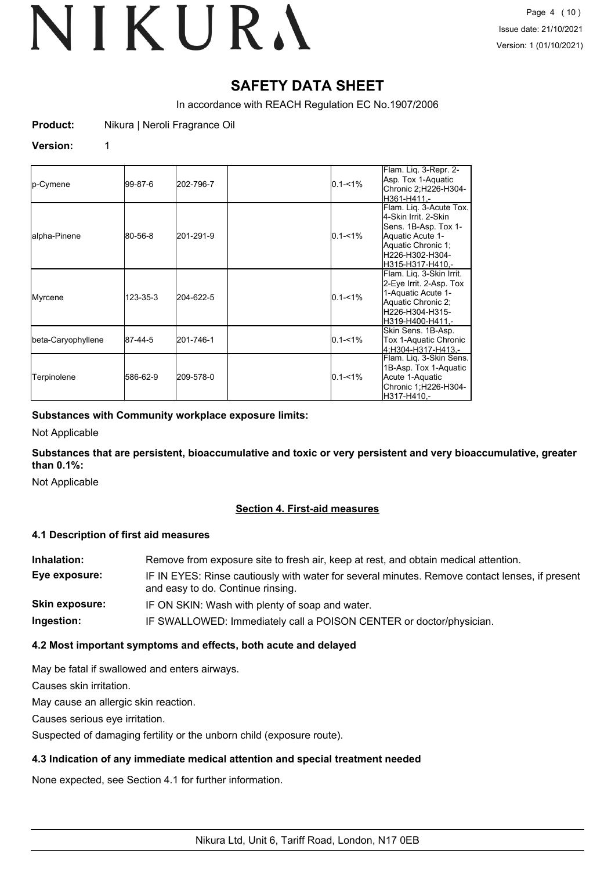# **SAFETY DATA SHEET**

In accordance with REACH Regulation EC No.1907/2006

**Product:** Nikura | Neroli Fragrance Oil

#### **Version:** 1

| p-Cymene           | 199-87-6 | 202-796-7 | $0.1 - 1\%$ | Flam. Liq. 3-Repr. 2-<br>Asp. Tox 1-Aquatic<br>Chronic 2;H226-H304-<br>H361-H411.-                                                                         |
|--------------------|----------|-----------|-------------|------------------------------------------------------------------------------------------------------------------------------------------------------------|
| alpha-Pinene       | 80-56-8  | 201-291-9 | $0.1 - 1\%$ | Flam. Lig. 3-Acute Tox.<br>l4-Skin Irrit, 2-Skin<br>Sens. 1B-Asp. Tox 1-<br>Aquatic Acute 1-<br>Aquatic Chronic 1;<br>lH226-H302-H304-<br>H315-H317-H410.- |
| Myrcene            | 123-35-3 | 204-622-5 | $0.1 - 1\%$ | Flam. Lig. 3-Skin Irrit.<br>2-Eye Irrit. 2-Asp. Tox<br>1-Aquatic Acute 1-<br>Aquatic Chronic 2;<br>H226-H304-H315-<br>H319-H400-H411.-                     |
| beta-Caryophyllene | 87-44-5  | 201-746-1 | $0.1 - 1\%$ | Skin Sens. 1B-Asp.<br>Tox 1-Aquatic Chronic<br>l4:H304-H317-H413.-                                                                                         |
| Terpinolene        | 586-62-9 | 209-578-0 | $0.1 - 1\%$ | Flam. Liq. 3-Skin Sens.<br>1B-Asp. Tox 1-Aquatic<br>Acute 1-Aquatic<br>Chronic 1;H226-H304-<br>IH317-H410.-                                                |

### **Substances with Community workplace exposure limits:**

Not Applicable

**Substances that are persistent, bioaccumulative and toxic or very persistent and very bioaccumulative, greater than 0.1%:**

Not Applicable

# **Section 4. First-aid measures**

#### **4.1 Description of first aid measures**

| Inhalation:    | Remove from exposure site to fresh air, keep at rest, and obtain medical attention.                                                 |
|----------------|-------------------------------------------------------------------------------------------------------------------------------------|
| Eye exposure:  | IF IN EYES: Rinse cautiously with water for several minutes. Remove contact lenses, if present<br>and easy to do. Continue rinsing. |
| Skin exposure: | IF ON SKIN: Wash with plenty of soap and water.                                                                                     |
| Ingestion:     | IF SWALLOWED: Immediately call a POISON CENTER or doctor/physician.                                                                 |

# **4.2 Most important symptoms and effects, both acute and delayed**

May be fatal if swallowed and enters airways.

Causes skin irritation.

May cause an allergic skin reaction.

Causes serious eye irritation.

Suspected of damaging fertility or the unborn child (exposure route).

# **4.3 Indication of any immediate medical attention and special treatment needed**

None expected, see Section 4.1 for further information.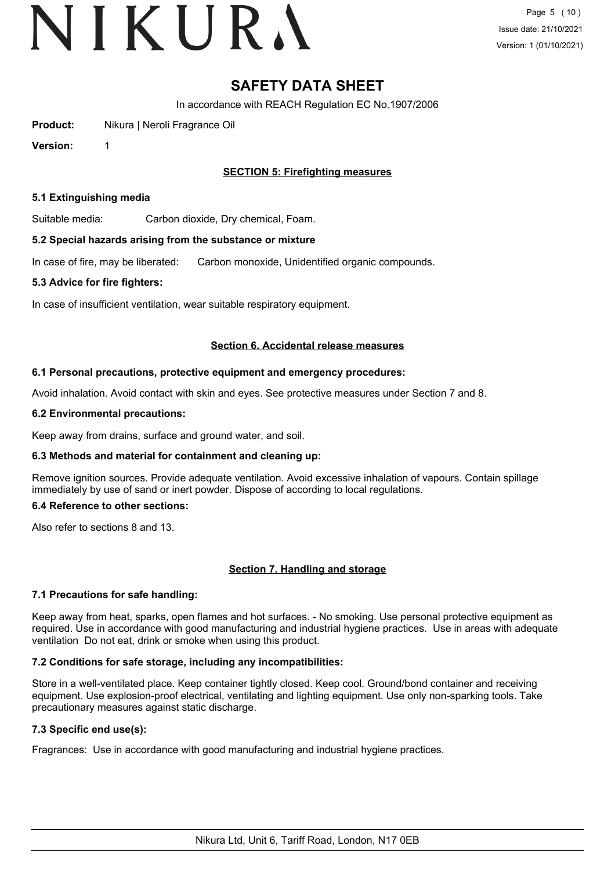# **SAFETY DATA SHEET**

In accordance with REACH Regulation EC No.1907/2006

**Product:** Nikura | Neroli Fragrance Oil

**Version:** 1

**SECTION 5: Firefighting measures**

#### **5.1 Extinguishing media**

Suitable media: Carbon dioxide, Dry chemical, Foam.

#### **5.2 Special hazards arising from the substance or mixture**

In case of fire, may be liberated: Carbon monoxide, Unidentified organic compounds.

#### **5.3 Advice for fire fighters:**

In case of insufficient ventilation, wear suitable respiratory equipment.

#### **Section 6. Accidental release measures**

#### **6.1 Personal precautions, protective equipment and emergency procedures:**

Avoid inhalation. Avoid contact with skin and eyes. See protective measures under Section 7 and 8.

#### **6.2 Environmental precautions:**

Keep away from drains, surface and ground water, and soil.

#### **6.3 Methods and material for containment and cleaning up:**

Remove ignition sources. Provide adequate ventilation. Avoid excessive inhalation of vapours. Contain spillage immediately by use of sand or inert powder. Dispose of according to local regulations.

#### **6.4 Reference to other sections:**

Also refer to sections 8 and 13.

#### **Section 7. Handling and storage**

#### **7.1 Precautions for safe handling:**

Keep away from heat, sparks, open flames and hot surfaces. - No smoking. Use personal protective equipment as required. Use in accordance with good manufacturing and industrial hygiene practices. Use in areas with adequate ventilation Do not eat, drink or smoke when using this product.

#### **7.2 Conditions for safe storage, including any incompatibilities:**

Store in a well-ventilated place. Keep container tightly closed. Keep cool. Ground/bond container and receiving equipment. Use explosion-proof electrical, ventilating and lighting equipment. Use only non-sparking tools. Take precautionary measures against static discharge.

### **7.3 Specific end use(s):**

Fragrances: Use in accordance with good manufacturing and industrial hygiene practices.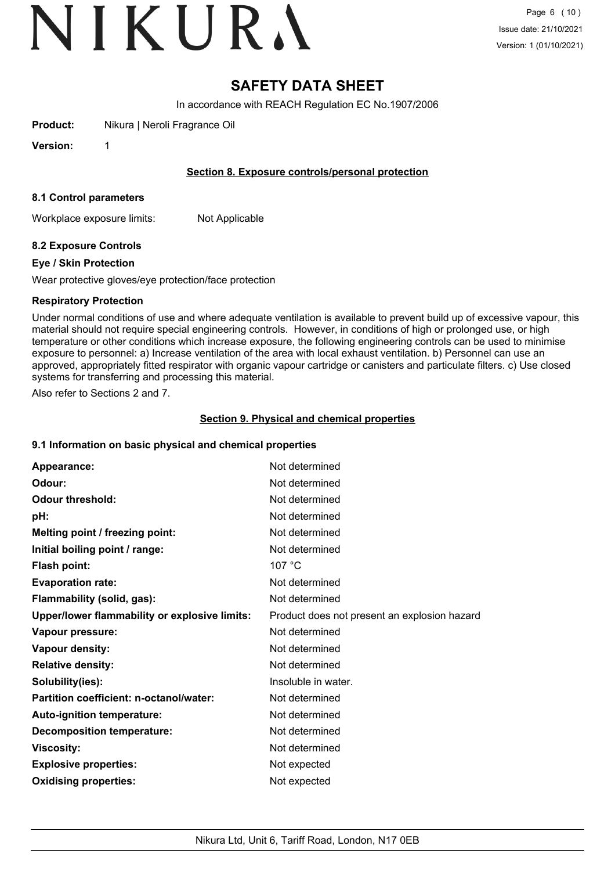# **SAFETY DATA SHEET**

In accordance with REACH Regulation EC No.1907/2006

**Product:** Nikura | Neroli Fragrance Oil

**Version:** 1

### **Section 8. Exposure controls/personal protection**

#### **8.1 Control parameters**

Workplace exposure limits: Not Applicable

# **8.2 Exposure Controls**

### **Eye / Skin Protection**

Wear protective gloves/eye protection/face protection

### **Respiratory Protection**

Under normal conditions of use and where adequate ventilation is available to prevent build up of excessive vapour, this material should not require special engineering controls. However, in conditions of high or prolonged use, or high temperature or other conditions which increase exposure, the following engineering controls can be used to minimise exposure to personnel: a) Increase ventilation of the area with local exhaust ventilation. b) Personnel can use an approved, appropriately fitted respirator with organic vapour cartridge or canisters and particulate filters. c) Use closed systems for transferring and processing this material.

Also refer to Sections 2 and 7.

# **Section 9. Physical and chemical properties**

# **9.1 Information on basic physical and chemical properties**

| Appearance:                                   | Not determined                               |
|-----------------------------------------------|----------------------------------------------|
| Odour:                                        | Not determined                               |
| <b>Odour threshold:</b>                       | Not determined                               |
| pH:                                           | Not determined                               |
| Melting point / freezing point:               | Not determined                               |
| Initial boiling point / range:                | Not determined                               |
| <b>Flash point:</b>                           | 107 °C                                       |
| <b>Evaporation rate:</b>                      | Not determined                               |
| Flammability (solid, gas):                    | Not determined                               |
| Upper/lower flammability or explosive limits: | Product does not present an explosion hazard |
| Vapour pressure:                              | Not determined                               |
| Vapour density:                               | Not determined                               |
| <b>Relative density:</b>                      | Not determined                               |
| Solubility(ies):                              | Insoluble in water.                          |
| Partition coefficient: n-octanol/water:       | Not determined                               |
| Auto-ignition temperature:                    | Not determined                               |
| <b>Decomposition temperature:</b>             | Not determined                               |
| <b>Viscosity:</b>                             | Not determined                               |
| <b>Explosive properties:</b>                  | Not expected                                 |
| <b>Oxidising properties:</b>                  | Not expected                                 |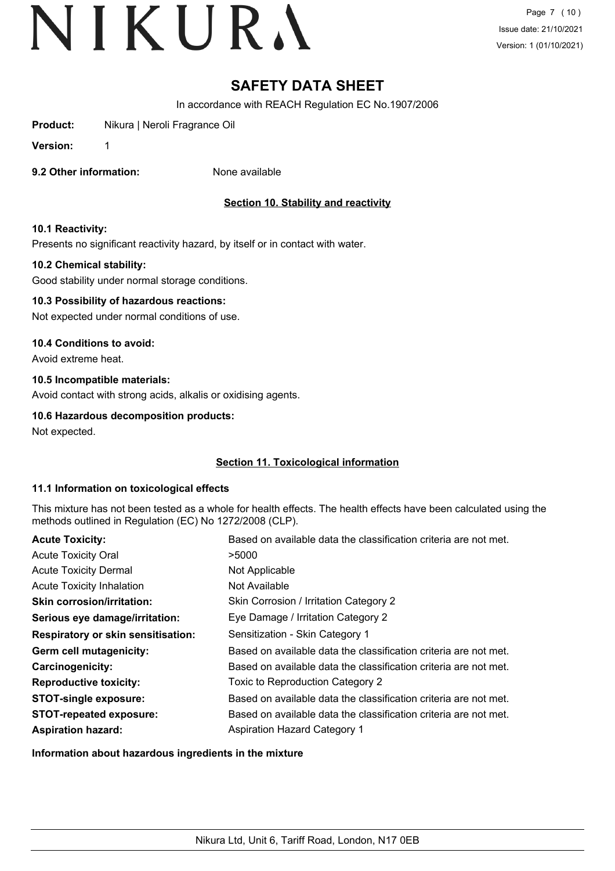# **SAFETY DATA SHEET**

In accordance with REACH Regulation EC No.1907/2006

**Product:** Nikura | Neroli Fragrance Oil

**Version:** 1

**9.2 Other information:** None available

# **Section 10. Stability and reactivity**

### **10.1 Reactivity:**

Presents no significant reactivity hazard, by itself or in contact with water.

### **10.2 Chemical stability:**

Good stability under normal storage conditions.

### **10.3 Possibility of hazardous reactions:**

Not expected under normal conditions of use.

### **10.4 Conditions to avoid:**

Avoid extreme heat.

# **10.5 Incompatible materials:**

Avoid contact with strong acids, alkalis or oxidising agents.

# **10.6 Hazardous decomposition products:**

Not expected.

# **Section 11. Toxicological information**

#### **11.1 Information on toxicological effects**

This mixture has not been tested as a whole for health effects. The health effects have been calculated using the methods outlined in Regulation (EC) No 1272/2008 (CLP).

| <b>Acute Toxicity:</b>                    | Based on available data the classification criteria are not met. |
|-------------------------------------------|------------------------------------------------------------------|
| <b>Acute Toxicity Oral</b>                | >5000                                                            |
| <b>Acute Toxicity Dermal</b>              | Not Applicable                                                   |
| <b>Acute Toxicity Inhalation</b>          | Not Available                                                    |
| <b>Skin corrosion/irritation:</b>         | Skin Corrosion / Irritation Category 2                           |
| Serious eye damage/irritation:            | Eye Damage / Irritation Category 2                               |
| <b>Respiratory or skin sensitisation:</b> | Sensitization - Skin Category 1                                  |
| Germ cell mutagenicity:                   | Based on available data the classification criteria are not met. |
| Carcinogenicity:                          | Based on available data the classification criteria are not met. |
| <b>Reproductive toxicity:</b>             | Toxic to Reproduction Category 2                                 |
| <b>STOT-single exposure:</b>              | Based on available data the classification criteria are not met. |
| <b>STOT-repeated exposure:</b>            | Based on available data the classification criteria are not met. |
| <b>Aspiration hazard:</b>                 | <b>Aspiration Hazard Category 1</b>                              |

**Information about hazardous ingredients in the mixture**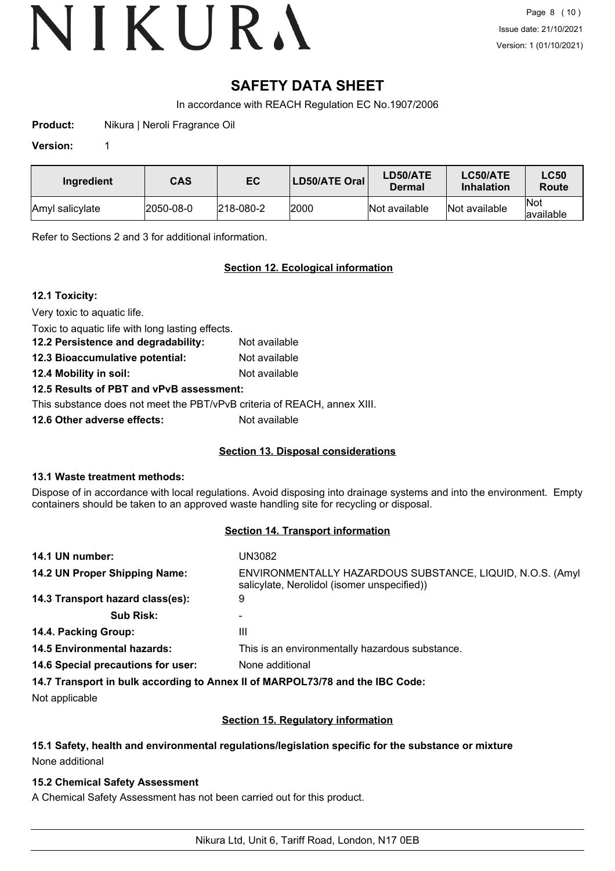# **SAFETY DATA SHEET**

In accordance with REACH Regulation EC No.1907/2006

**Product:** Nikura | Neroli Fragrance Oil

#### **Version:** 1

| Ingredient      | CAS       | EC                | LD50/ATE Oral | LD50/ATE<br>Dermal | LC50/ATE<br><b>Inhalation</b> | <b>LC50</b><br>Route     |
|-----------------|-----------|-------------------|---------------|--------------------|-------------------------------|--------------------------|
| Amyl salicylate | 2050-08-0 | $ 218 - 080 - 2 $ | 2000          | Not available      | Not available                 | <b>Not</b><br>lavailable |

Refer to Sections 2 and 3 for additional information.

# **Section 12. Ecological information**

# **12.1 Toxicity:**

Very toxic to aquatic life.

Toxic to aquatic life with long lasting effects.

**12.2 Persistence and degradability:** Not available **12.3 Bioaccumulative potential:** Not available

**12.4 Mobility in soil:** Not available

# **12.5 Results of PBT and vPvB assessment:**

This substance does not meet the PBT/vPvB criteria of REACH, annex XIII.

**12.6 Other adverse effects:** Not available

# **Section 13. Disposal considerations**

# **13.1 Waste treatment methods:**

Dispose of in accordance with local regulations. Avoid disposing into drainage systems and into the environment. Empty containers should be taken to an approved waste handling site for recycling or disposal.

# **Section 14. Transport information**

| 14.1 UN number:                                                               | UN3082                                                                                                    |  |  |
|-------------------------------------------------------------------------------|-----------------------------------------------------------------------------------------------------------|--|--|
| 14.2 UN Proper Shipping Name:                                                 | ENVIRONMENTALLY HAZARDOUS SUBSTANCE, LIQUID, N.O.S. (Amyl)<br>salicylate, Nerolidol (isomer unspecified)) |  |  |
| 14.3 Transport hazard class(es):                                              | 9                                                                                                         |  |  |
| <b>Sub Risk:</b>                                                              | -                                                                                                         |  |  |
| 14.4. Packing Group:                                                          | Ш                                                                                                         |  |  |
| <b>14.5 Environmental hazards:</b>                                            | This is an environmentally hazardous substance.                                                           |  |  |
| 14.6 Special precautions for user:                                            | None additional                                                                                           |  |  |
| 14.7 Transport in bulk according to Annex II of MARPOL73/78 and the IBC Code: |                                                                                                           |  |  |

Not applicable

# **Section 15. Regulatory information**

# **15.1 Safety, health and environmental regulations/legislation specific for the substance or mixture** None additional

# **15.2 Chemical Safety Assessment**

A Chemical Safety Assessment has not been carried out for this product.

Nikura Ltd, Unit 6, Tariff Road, London, N17 0EB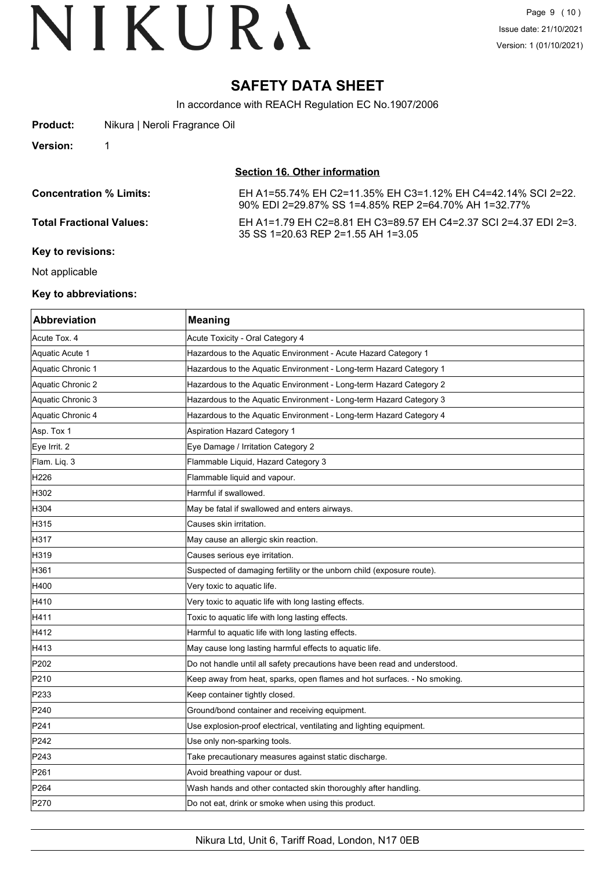# **SAFETY DATA SHEET**

In accordance with REACH Regulation EC No.1907/2006

| Product: | Nikura   Neroli Fragrance Oil |
|----------|-------------------------------|
|----------|-------------------------------|

**Version:** 1

**Section 16. Other information**

| <b>Concentration % Limits:</b>  | EH A1=55.74% EH C2=11.35% EH C3=1.12% EH C4=42.14% SCI 2=22.<br>90% EDI 2=29.87% SS 1=4.85% REP 2=64.70% AH 1=32.77% |
|---------------------------------|----------------------------------------------------------------------------------------------------------------------|
| <b>Total Fractional Values:</b> | EH A1=1.79 EH C2=8.81 EH C3=89.57 EH C4=2.37 SCI 2=4.37 EDI 2=3.<br>35 SS 1=20.63 REP 2=1.55 AH 1=3.05               |
| Key to revisions:               |                                                                                                                      |

Not applicable

#### **Key to abbreviations:**

| <b>Abbreviation</b> | <b>Meaning</b>                                                            |
|---------------------|---------------------------------------------------------------------------|
| Acute Tox. 4        | Acute Toxicity - Oral Category 4                                          |
| Aquatic Acute 1     | Hazardous to the Aquatic Environment - Acute Hazard Category 1            |
| Aquatic Chronic 1   | Hazardous to the Aquatic Environment - Long-term Hazard Category 1        |
| Aquatic Chronic 2   | Hazardous to the Aquatic Environment - Long-term Hazard Category 2        |
| Aquatic Chronic 3   | Hazardous to the Aquatic Environment - Long-term Hazard Category 3        |
| Aquatic Chronic 4   | Hazardous to the Aquatic Environment - Long-term Hazard Category 4        |
| Asp. Tox 1          | Aspiration Hazard Category 1                                              |
| Eye Irrit. 2        | Eye Damage / Irritation Category 2                                        |
| Flam. Liq. 3        | Flammable Liquid, Hazard Category 3                                       |
| H226                | Flammable liquid and vapour.                                              |
| H302                | Harmful if swallowed.                                                     |
| H304                | May be fatal if swallowed and enters airways.                             |
| H315                | Causes skin irritation.                                                   |
| H317                | May cause an allergic skin reaction.                                      |
| H319                | Causes serious eye irritation.                                            |
| H361                | Suspected of damaging fertility or the unborn child (exposure route).     |
| H400                | Very toxic to aquatic life.                                               |
| H410                | Very toxic to aquatic life with long lasting effects.                     |
| H411                | Toxic to aquatic life with long lasting effects.                          |
| H412                | Harmful to aquatic life with long lasting effects.                        |
| H413                | May cause long lasting harmful effects to aquatic life.                   |
| P202                | Do not handle until all safety precautions have been read and understood. |
| P210                | Keep away from heat, sparks, open flames and hot surfaces. - No smoking.  |
| P233                | Keep container tightly closed.                                            |
| P240                | Ground/bond container and receiving equipment.                            |
| P241                | Use explosion-proof electrical, ventilating and lighting equipment.       |
| P242                | Use only non-sparking tools.                                              |
| P243                | Take precautionary measures against static discharge.                     |
| P261                | Avoid breathing vapour or dust.                                           |
| P264                | Wash hands and other contacted skin thoroughly after handling.            |
| P270                | Do not eat, drink or smoke when using this product.                       |